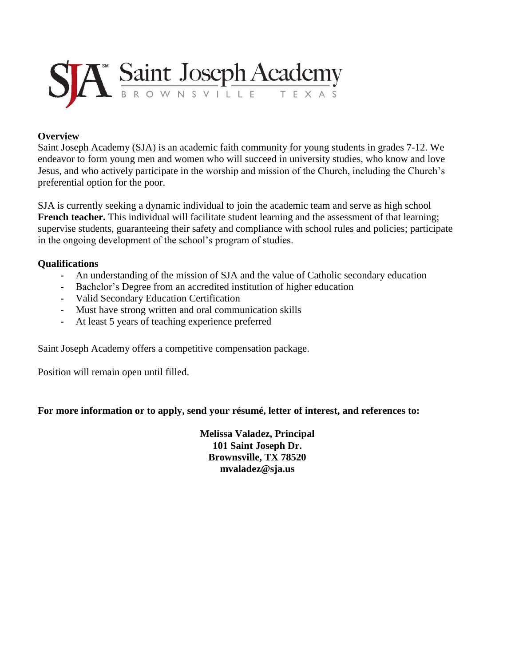

## **Overview**

Saint Joseph Academy (SJA) is an academic faith community for young students in grades 7-12. We endeavor to form young men and women who will succeed in university studies, who know and love Jesus, and who actively participate in the worship and mission of the Church, including the Church's preferential option for the poor.

SJA is currently seeking a dynamic individual to join the academic team and serve as high school **French teacher.** This individual will facilitate student learning and the assessment of that learning; supervise students, guaranteeing their safety and compliance with school rules and policies; participate in the ongoing development of the school's program of studies.

## **Qualifications**

- **-** An understanding of the mission of SJA and the value of Catholic secondary education
- **-** Bachelor's Degree from an accredited institution of higher education
- **-** Valid Secondary Education Certification
- **-** Must have strong written and oral communication skills
- **-** At least 5 years of teaching experience preferred

Saint Joseph Academy offers a competitive compensation package.

Position will remain open until filled.

## **For more information or to apply, send your résumé, letter of interest, and references to:**

**Melissa Valadez, Principal 101 Saint Joseph Dr. Brownsville, TX 78520 mvaladez@sja.us**